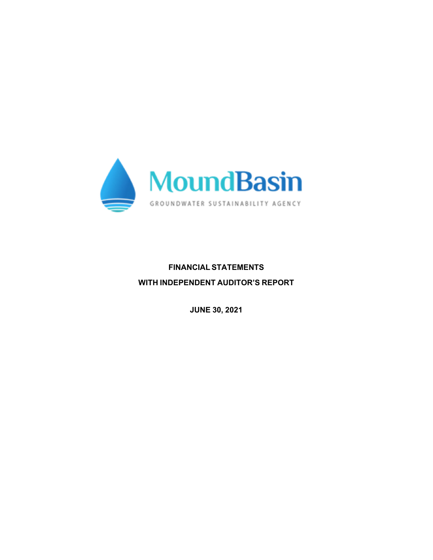

# **FINANCIAL STATEMENTS WITH INDEPENDENT AUDITOR'S REPORT**

**JUNE 30, 2021**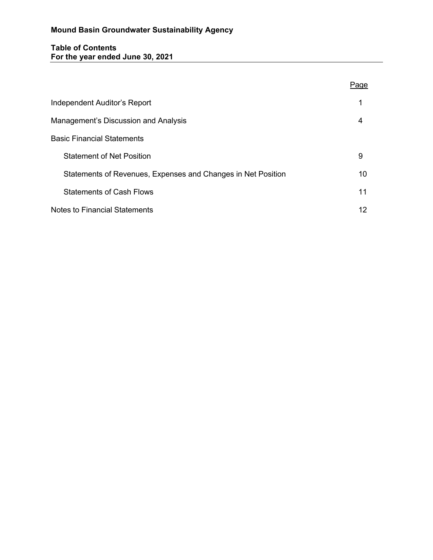# **Table of Contents For the year ended June 30, 2021**

|                                                              | Page |
|--------------------------------------------------------------|------|
| Independent Auditor's Report                                 |      |
| Management's Discussion and Analysis                         | 4    |
| <b>Basic Financial Statements</b>                            |      |
| <b>Statement of Net Position</b>                             | 9    |
| Statements of Revenues, Expenses and Changes in Net Position | 10   |
| <b>Statements of Cash Flows</b>                              | 11   |
| <b>Notes to Financial Statements</b>                         | 12   |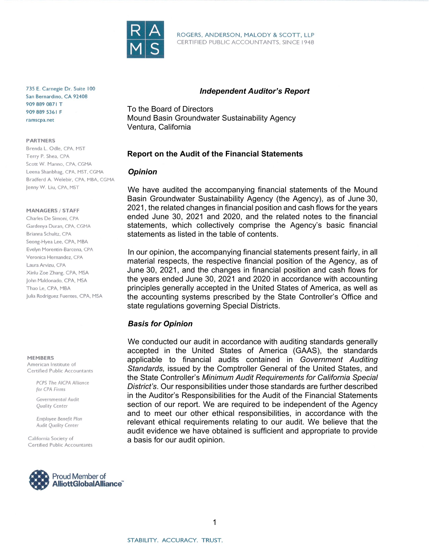

ROGERS, ANDERSON, MALODY & SCOTT, LLP CERTIFIED PUBLIC ACCOUNTANTS, SINCE 1948

735 E. Carnegie Dr. Suite 100 San Bernardino, CA 92408 909 889 0871 T 909 889 5361 F ramscpa.net

#### **PARTNERS**

Brenda L. Odle, CPA, MST Terry P. Shea, CPA Scott W. Manno, CPA, CGMA Leena Shanbhag, CPA, MST, CGMA Bradferd A. Welebir, CPA, MBA, CGMA Jenny W. Liu, CPA, MST

#### **MANAGERS / STAFF**

Charles De Simoni, CPA Gardenya Duran, CPA, CGMA Brianna Schultz, CPA Seong-Hyea Lee, CPA, MBA Evelyn Morentin-Barcena, CPA Veronica Hernandez, CPA Laura Arvizu, CPA Xinlu Zoe Zhang, CPA, MSA John Maldonado, CPA, MSA Thao Le, CPA, MBA Julia Rodriguez Fuentes, CPA, MSA

#### **MEMRERS**

American Institute of Certified Public Accountants

> PCPS The AICPA Alliance for CPA Firms

Governmental Audit **Ouglity Center** 

Employee Benefit Plan Audit Quality Center

California Society of Certified Public Accountants



#### *Independent Auditor's Report*

To the Board of Directors Mound Basin Groundwater Sustainability Agency Ventura, California

#### **Report on the Audit of the Financial Statements**

#### *Opinion*

We have audited the accompanying financial statements of the Mound Basin Groundwater Sustainability Agency (the Agency), as of June 30, 2021, the related changes in financial position and cash flows for the years ended June 30, 2021 and 2020, and the related notes to the financial statements, which collectively comprise the Agency's basic financial statements as listed in the table of contents.

In our opinion, the accompanying financial statements present fairly, in all material respects, the respective financial position of the Agency, as of June 30, 2021, and the changes in financial position and cash flows for the years ended June 30, 2021 and 2020 in accordance with accounting principles generally accepted in the United States of America, as well as the accounting systems prescribed by the State Controller's Office and state regulations governing Special Districts.

#### *Basis for Opinion*

We conducted our audit in accordance with auditing standards generally accepted in the United States of America (GAAS), the standards applicable to financial audits contained in *Government Auditing Standards,* issued by the Comptroller General of the United States, and the State Controller's *Minimum Audit Requirements for California Special District's*. Our responsibilities under those standards are further described in the Auditor's Responsibilities for the Audit of the Financial Statements section of our report. We are required to be independent of the Agency and to meet our other ethical responsibilities, in accordance with the relevant ethical requirements relating to our audit. We believe that the audit evidence we have obtained is sufficient and appropriate to provide a basis for our audit opinion.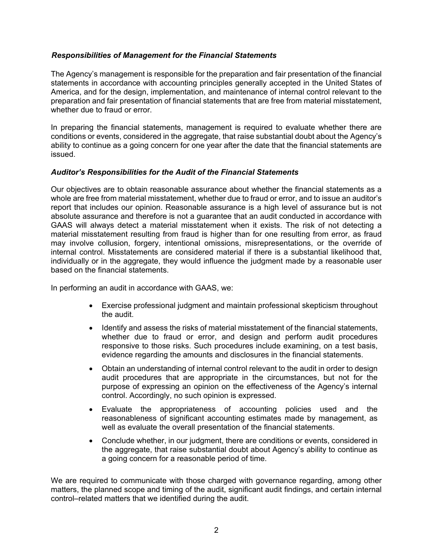## *Responsibilities of Management for the Financial Statements*

The Agency's management is responsible for the preparation and fair presentation of the financial statements in accordance with accounting principles generally accepted in the United States of America, and for the design, implementation, and maintenance of internal control relevant to the preparation and fair presentation of financial statements that are free from material misstatement, whether due to fraud or error.

In preparing the financial statements, management is required to evaluate whether there are conditions or events, considered in the aggregate, that raise substantial doubt about the Agency's ability to continue as a going concern for one year after the date that the financial statements are issued.

## *Auditor's Responsibilities for the Audit of the Financial Statements*

Our objectives are to obtain reasonable assurance about whether the financial statements as a whole are free from material misstatement, whether due to fraud or error, and to issue an auditor's report that includes our opinion. Reasonable assurance is a high level of assurance but is not absolute assurance and therefore is not a guarantee that an audit conducted in accordance with GAAS will always detect a material misstatement when it exists. The risk of not detecting a material misstatement resulting from fraud is higher than for one resulting from error, as fraud may involve collusion, forgery, intentional omissions, misrepresentations, or the override of internal control. Misstatements are considered material if there is a substantial likelihood that, individually or in the aggregate, they would influence the judgment made by a reasonable user based on the financial statements.

In performing an audit in accordance with GAAS, we:

- Exercise professional judgment and maintain professional skepticism throughout the audit.
- Identify and assess the risks of material misstatement of the financial statements, whether due to fraud or error, and design and perform audit procedures responsive to those risks. Such procedures include examining, on a test basis, evidence regarding the amounts and disclosures in the financial statements.
- Obtain an understanding of internal control relevant to the audit in order to design audit procedures that are appropriate in the circumstances, but not for the purpose of expressing an opinion on the effectiveness of the Agency's internal control. Accordingly, no such opinion is expressed.
- Evaluate the appropriateness of accounting policies used and the reasonableness of significant accounting estimates made by management, as well as evaluate the overall presentation of the financial statements.
- Conclude whether, in our judgment, there are conditions or events, considered in the aggregate, that raise substantial doubt about Agency's ability to continue as a going concern for a reasonable period of time.

We are required to communicate with those charged with governance regarding, among other matters, the planned scope and timing of the audit, significant audit findings, and certain internal control–related matters that we identified during the audit.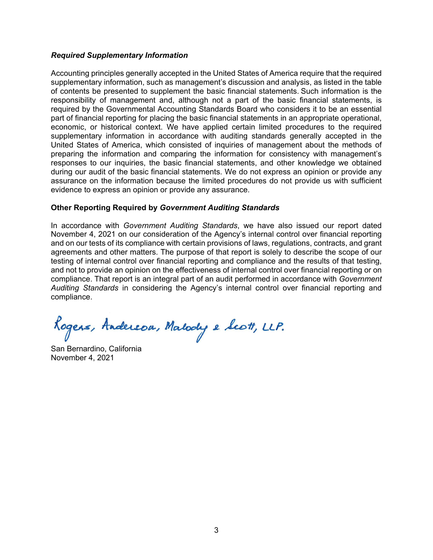#### *Required Supplementary Information*

Accounting principles generally accepted in the United States of America require that the required supplementary information, such as management's discussion and analysis, as listed in the table of contents be presented to supplement the basic financial statements. Such information is the responsibility of management and, although not a part of the basic financial statements, is required by the Governmental Accounting Standards Board who considers it to be an essential part of financial reporting for placing the basic financial statements in an appropriate operational, economic, or historical context. We have applied certain limited procedures to the required supplementary information in accordance with auditing standards generally accepted in the United States of America, which consisted of inquiries of management about the methods of preparing the information and comparing the information for consistency with management's responses to our inquiries, the basic financial statements, and other knowledge we obtained during our audit of the basic financial statements. We do not express an opinion or provide any assurance on the information because the limited procedures do not provide us with sufficient evidence to express an opinion or provide any assurance.

#### **Other Reporting Required by** *Government Auditing Standards*

In accordance with *Government Auditing Standards*, we have also issued our report dated November 4, 2021 on our consideration of the Agency's internal control over financial reporting and on our tests of its compliance with certain provisions of laws, regulations, contracts, and grant agreements and other matters. The purpose of that report is solely to describe the scope of our testing of internal control over financial reporting and compliance and the results of that testing, and not to provide an opinion on the effectiveness of internal control over financial reporting or on compliance. That report is an integral part of an audit performed in accordance with *Government Auditing Standards* in considering the Agency's internal control over financial reporting and compliance.

Rogers, Andereou, Malody e Scott, LLP.

San Bernardino, California November 4, 2021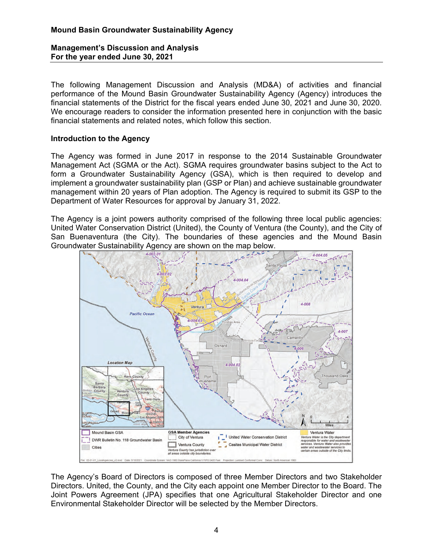#### **Management's Discussion and Analysis For the year ended June 30, 2021**

The following Management Discussion and Analysis (MD&A) of activities and financial performance of the Mound Basin Groundwater Sustainability Agency (Agency) introduces the financial statements of the District for the fiscal years ended June 30, 2021 and June 30, 2020. We encourage readers to consider the information presented here in conjunction with the basic financial statements and related notes, which follow this section.

#### **Introduction to the Agency**

The Agency was formed in June 2017 in response to the 2014 Sustainable Groundwater Management Act (SGMA or the Act). SGMA requires groundwater basins subject to the Act to form a Groundwater Sustainability Agency (GSA), which is then required to develop and implement a groundwater sustainability plan (GSP or Plan) and achieve sustainable groundwater management within 20 years of Plan adoption. The Agency is required to submit its GSP to the Department of Water Resources for approval by January 31, 2022.

The Agency is a joint powers authority comprised of the following three local public agencies: United Water Conservation District (United), the County of Ventura (the County), and the City of San Buenaventura (the City). The boundaries of these agencies and the Mound Basin Groundwater Sustainability Agency are shown on the map below.



The Agency's Board of Directors is composed of three Member Directors and two Stakeholder Directors. United, the County, and the City each appoint one Member Director to the Board. The Joint Powers Agreement (JPA) specifies that one Agricultural Stakeholder Director and one Environmental Stakeholder Director will be selected by the Member Directors.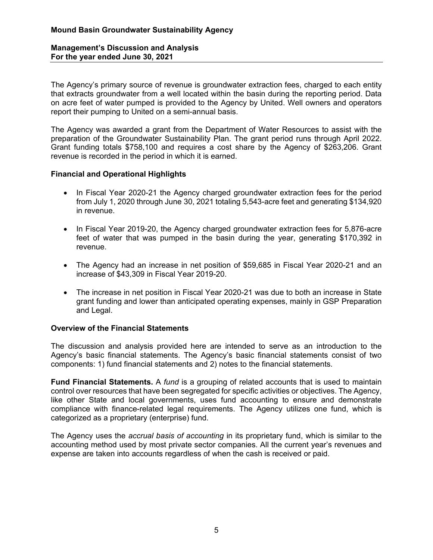#### **Management's Discussion and Analysis For the year ended June 30, 2021**

The Agency's primary source of revenue is groundwater extraction fees, charged to each entity that extracts groundwater from a well located within the basin during the reporting period. Data on acre feet of water pumped is provided to the Agency by United. Well owners and operators report their pumping to United on a semi-annual basis.

The Agency was awarded a grant from the Department of Water Resources to assist with the preparation of the Groundwater Sustainability Plan. The grant period runs through April 2022. Grant funding totals \$758,100 and requires a cost share by the Agency of \$263,206. Grant revenue is recorded in the period in which it is earned.

#### **Financial and Operational Highlights**

- In Fiscal Year 2020-21 the Agency charged groundwater extraction fees for the period from July 1, 2020 through June 30, 2021 totaling 5,543-acre feet and generating \$134,920 in revenue.
- In Fiscal Year 2019-20, the Agency charged groundwater extraction fees for 5,876-acre feet of water that was pumped in the basin during the year, generating \$170,392 in revenue.
- The Agency had an increase in net position of \$59,685 in Fiscal Year 2020-21 and an increase of \$43,309 in Fiscal Year 2019-20.
- The increase in net position in Fiscal Year 2020-21 was due to both an increase in State grant funding and lower than anticipated operating expenses, mainly in GSP Preparation and Legal.

## **Overview of the Financial Statements**

The discussion and analysis provided here are intended to serve as an introduction to the Agency's basic financial statements. The Agency's basic financial statements consist of two components: 1) fund financial statements and 2) notes to the financial statements.

**Fund Financial Statements.** A *fund* is a grouping of related accounts that is used to maintain control over resources that have been segregated for specific activities or objectives. The Agency, like other State and local governments, uses fund accounting to ensure and demonstrate compliance with finance-related legal requirements. The Agency utilizes one fund, which is categorized as a proprietary (enterprise) fund.

The Agency uses the *accrual basis of accounting* in its proprietary fund, which is similar to the accounting method used by most private sector companies. All the current year's revenues and expense are taken into accounts regardless of when the cash is received or paid.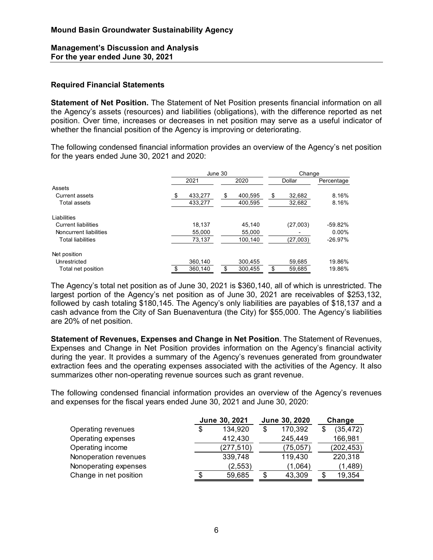#### **Management's Discussion and Analysis For the year ended June 30, 2021**

#### **Required Financial Statements**

**Statement of Net Position.** The Statement of Net Position presents financial information on all the Agency's assets (resources) and liabilities (obligations), with the difference reported as net position. Over time, increases or decreases in net position may serve as a useful indicator of whether the financial position of the Agency is improving or deteriorating.

The following condensed financial information provides an overview of the Agency's net position for the years ended June 30, 2021 and 2020:

|                            | June 30         |               | Change       |            |  |  |
|----------------------------|-----------------|---------------|--------------|------------|--|--|
|                            | 2021            | 2020          | Dollar       | Percentage |  |  |
| Assets                     |                 |               |              |            |  |  |
| Current assets             | 433,277<br>- \$ | 400,595<br>\$ | 32,682<br>\$ | 8.16%      |  |  |
| <b>Total assets</b>        | 433,277         | 400,595       | 32,682       | 8.16%      |  |  |
| Liabilities                |                 |               |              |            |  |  |
| <b>Current liabilities</b> | 18.137          | 45.140        | (27,003)     | $-59.82%$  |  |  |
| Noncurrent liabilities     | 55,000          | 55,000        |              | $0.00\%$   |  |  |
| Total liabilities          | 73.137          | 100.140       | (27,003)     | $-26.97%$  |  |  |
| Net position               |                 |               |              |            |  |  |
| Unrestricted               | 360.140         | 300.455       | 59,685       | 19.86%     |  |  |
| Total net position         | 360.140         | \$<br>300.455 | 59,685<br>\$ | 19.86%     |  |  |

The Agency's total net position as of June 30, 2021 is \$360,140, all of which is unrestricted. The largest portion of the Agency's net position as of June 30, 2021 are receivables of \$253,132, followed by cash totaling \$180,145. The Agency's only liabilities are payables of \$18,137 and a cash advance from the City of San Buenaventura (the City) for \$55,000. The Agency's liabilities are 20% of net position.

**Statement of Revenues, Expenses and Change in Net Position**. The Statement of Revenues, Expenses and Change in Net Position provides information on the Agency's financial activity during the year. It provides a summary of the Agency's revenues generated from groundwater extraction fees and the operating expenses associated with the activities of the Agency. It also summarizes other non-operating revenue sources such as grant revenue.

The following condensed financial information provides an overview of the Agency's revenues and expenses for the fiscal years ended June 30, 2021 and June 30, 2020:

|                        | June 30, 2021 |    | June 30, 2020 | Change |            |  |
|------------------------|---------------|----|---------------|--------|------------|--|
| Operating revenues     | 134,920       | \$ | 170,392       |        | (35, 472)  |  |
| Operating expenses     | 412,430       |    | 245,449       |        | 166,981    |  |
| Operating income       | (277,510)     |    | (75,057)      |        | (202, 453) |  |
| Nonoperation revenues  | 339,748       |    | 119,430       |        | 220,318    |  |
| Nonoperating expenses  | (2, 553)      |    | (1,064)       |        | (1,489)    |  |
| Change in net position | 59,685        | S  | 43,309        |        | 19,354     |  |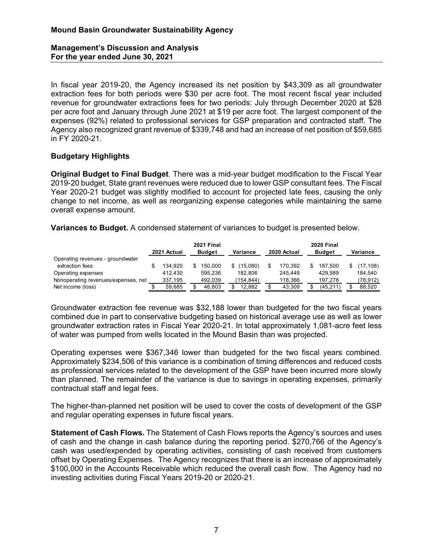#### **Management's Discussion and Analysis For the year ended June 30, 2021**

In fiscal year 2019-20, the Agency increased its net position by \$43,309 as all groundwater extraction fees for both periods were \$30 per acre foot. The most recent fiscal year included revenue for groundwater extractions fees for two periods: July through December 2020 at \$28 per acre foot and January through June 2021 at \$19 per acre foot. The largest component of the expenses (92%) related to professional services for GSP preparation and contracted staff. The Agency also recognized grant revenue of \$339,748 and had an increase of net position of \$59,685 in FY 2020-21.

#### **Budgetary Highlights**

**Original Budget to Final Budget**. There was a mid-year budget modification to the Fiscal Year 2019-20 budget, State grant revenues were reduced due to lower GSP consultant fees. The Fiscal Year 2020-21 budget was slightly modified to account for projected late fees, causing the only change to net income, as well as reorganizing expense categories while maintaining the same overall expense amount.

**Variances to Budget.** A condensed statement of variances to budget is presented below.

|                                     | <b>2021 Final</b> |             |  |               |  | <b>2020 Final</b> |  |             |  |               |  |             |
|-------------------------------------|-------------------|-------------|--|---------------|--|-------------------|--|-------------|--|---------------|--|-------------|
|                                     |                   | 2021 Actual |  | <b>Budget</b> |  | Variance          |  | 2020 Actual |  | <b>Budget</b> |  | Variance    |
| Operating revenues - groundwater    |                   |             |  |               |  |                   |  |             |  |               |  |             |
| extraction fees                     |                   | 134.920     |  | 150.000       |  | (15.080)          |  | 170.392     |  | 187.500       |  | \$(17, 108) |
| Operating expenses                  |                   | 412.430     |  | 595.236       |  | 182.806           |  | 245.449     |  | 429.989       |  | 184.540     |
| Nonoperating revenues/expenses, net |                   | 337,195     |  | 492.039       |  | (154.844)         |  | 118.366     |  | 197.278       |  | (78,912)    |
| Net income (loss)                   |                   | 59.685      |  | 46.803        |  | 12.882            |  | 43.309      |  | (45.211)      |  | 88,520      |

Groundwater extraction fee revenue was \$32,188 lower than budgeted for the two fiscal years combined due in part to conservative budgeting based on historical average use as well as lower groundwater extraction rates in Fiscal Year 2020-21. In total approximately 1,081-acre feet less of water was pumped from wells located in the Mound Basin than was projected.

Operating expenses were \$367,346 lower than budgeted for the two fiscal years combined. Approximately \$234,506 of this variance is a combination of timing differences and reduced costs as professional services related to the development of the GSP have been incurred more slowly than planned. The remainder of the variance is due to savings in operating expenses, primarily contractual staff and legal fees.

The higher-than-planned net position will be used to cover the costs of development of the GSP and regular operating expenses in future fiscal years.

**Statement of Cash Flows.** The Statement of Cash Flows reports the Agency's sources and uses of cash and the change in cash balance during the reporting period. \$270,766 of the Agency's cash was used/expended by operating activities, consisting of cash received from customers offset by Operating Expenses. The Agency recognizes that there is an increase of approximately \$100,000 in the Accounts Receivable which reduced the overall cash flow. The Agency had no investing activities during Fiscal Years 2019-20 or 2020-21.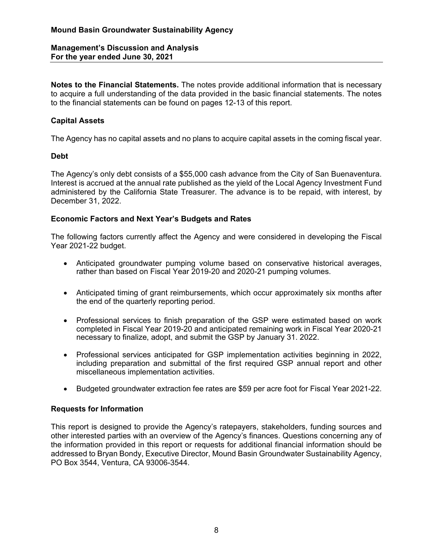#### **Management's Discussion and Analysis For the year ended June 30, 2021**

**Notes to the Financial Statements.** The notes provide additional information that is necessary to acquire a full understanding of the data provided in the basic financial statements. The notes to the financial statements can be found on pages 12-13 of this report.

#### **Capital Assets**

The Agency has no capital assets and no plans to acquire capital assets in the coming fiscal year.

#### **Debt**

The Agency's only debt consists of a \$55,000 cash advance from the City of San Buenaventura. Interest is accrued at the annual rate published as the yield of the Local Agency Investment Fund administered by the California State Treasurer. The advance is to be repaid, with interest, by December 31, 2022.

#### **Economic Factors and Next Year's Budgets and Rates**

The following factors currently affect the Agency and were considered in developing the Fiscal Year 2021-22 budget.

- Anticipated groundwater pumping volume based on conservative historical averages, rather than based on Fiscal Year 2019-20 and 2020-21 pumping volumes.
- Anticipated timing of grant reimbursements, which occur approximately six months after the end of the quarterly reporting period.
- Professional services to finish preparation of the GSP were estimated based on work completed in Fiscal Year 2019-20 and anticipated remaining work in Fiscal Year 2020-21 necessary to finalize, adopt, and submit the GSP by January 31. 2022.
- Professional services anticipated for GSP implementation activities beginning in 2022. including preparation and submittal of the first required GSP annual report and other miscellaneous implementation activities.
- Budgeted groundwater extraction fee rates are \$59 per acre foot for Fiscal Year 2021-22.

## **Requests for Information**

This report is designed to provide the Agency's ratepayers, stakeholders, funding sources and other interested parties with an overview of the Agency's finances. Questions concerning any of the information provided in this report or requests for additional financial information should be addressed to Bryan Bondy, Executive Director, Mound Basin Groundwater Sustainability Agency, PO Box 3544, Ventura, CA 93006-3544.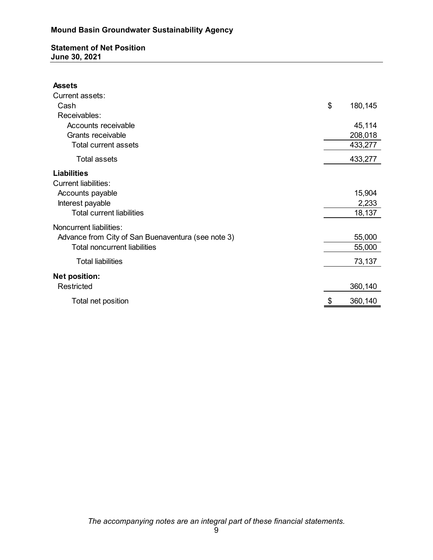# **Statement of Net Position June 30, 2021**

| <b>Assets</b>                                      |               |
|----------------------------------------------------|---------------|
| Current assets:                                    |               |
| Cash                                               | \$<br>180,145 |
| Receivables:                                       |               |
| Accounts receivable                                | 45,114        |
| Grants receivable                                  | 208,018       |
| <b>Total current assets</b>                        | 433,277       |
| Total assets                                       | 433,277       |
| <b>Liabilities</b>                                 |               |
| <b>Current liabilities:</b>                        |               |
| Accounts payable                                   | 15,904        |
| Interest payable                                   | 2,233         |
| <b>Total current liabilities</b>                   | 18,137        |
| Noncurrent liabilities:                            |               |
| Advance from City of San Buenaventura (see note 3) | 55,000        |
| <b>Total noncurrent liabilities</b>                | 55,000        |
| <b>Total liabilities</b>                           | 73,137        |
| <b>Net position:</b>                               |               |
| Restricted                                         | 360,140       |
| Total net position                                 | 360,140       |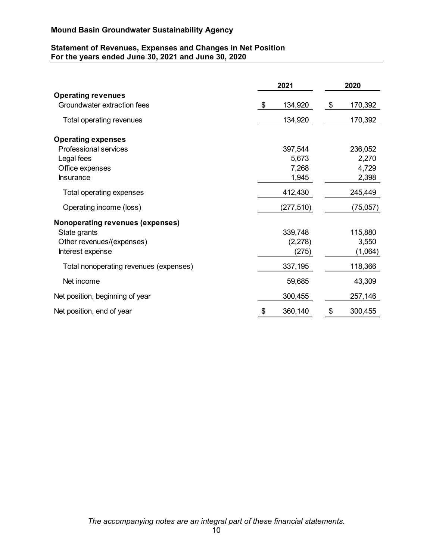# **Statement of Revenues, Expenses and Changes in Net Position For the years ended June 30, 2021 and June 30, 2020**

|                                                          | 2021          | 2020          |  |  |
|----------------------------------------------------------|---------------|---------------|--|--|
| <b>Operating revenues</b><br>Groundwater extraction fees | \$<br>134,920 | \$<br>170,392 |  |  |
| Total operating revenues                                 | 134,920       | 170,392       |  |  |
| <b>Operating expenses</b>                                |               |               |  |  |
| <b>Professional services</b>                             | 397,544       | 236,052       |  |  |
| Legal fees                                               | 5,673         | 2,270         |  |  |
| Office expenses                                          | 7,268         | 4,729         |  |  |
| Insurance                                                | 1,945         | 2,398         |  |  |
| Total operating expenses                                 | 412,430       | 245,449       |  |  |
| Operating income (loss)                                  | (277, 510)    | (75,057)      |  |  |
| Nonoperating revenues (expenses)                         |               |               |  |  |
| State grants                                             | 339,748       | 115,880       |  |  |
| Other revenues/(expenses)                                | (2,278)       | 3,550         |  |  |
| Interest expense                                         | (275)         | (1,064)       |  |  |
| Total nonoperating revenues (expenses)                   | 337,195       | 118,366       |  |  |
| Net income                                               | 59,685        | 43,309        |  |  |
| Net position, beginning of year                          | 300,455       | 257,146       |  |  |
| Net position, end of year                                | 360,140       | 300,455<br>\$ |  |  |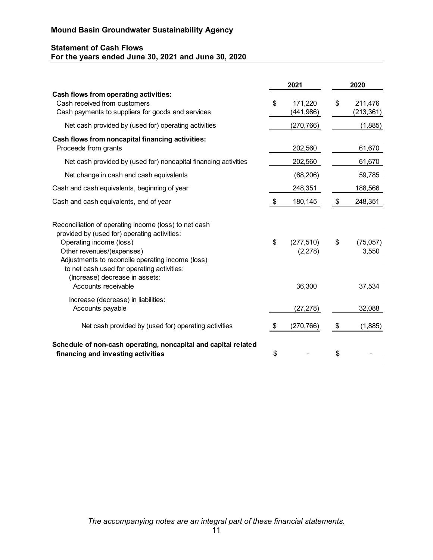## **Statement of Cash Flows For the years ended June 30, 2021 and June 30, 2020**

|                                                                                                                                                                                                                                                                                                                          |    | 2021                            | 2020 |                             |  |
|--------------------------------------------------------------------------------------------------------------------------------------------------------------------------------------------------------------------------------------------------------------------------------------------------------------------------|----|---------------------------------|------|-----------------------------|--|
| Cash flows from operating activities:<br>Cash received from customers<br>Cash payments to suppliers for goods and services                                                                                                                                                                                               | \$ | 171,220<br>(441, 986)           | \$   | 211,476<br>(213, 361)       |  |
| Net cash provided by (used for) operating activities                                                                                                                                                                                                                                                                     |    | (270, 766)                      |      | (1,885)                     |  |
| Cash flows from noncapital financing activities:<br>Proceeds from grants                                                                                                                                                                                                                                                 |    | 202,560                         |      | 61,670                      |  |
| Net cash provided by (used for) noncapital financing activities                                                                                                                                                                                                                                                          |    | 202,560                         |      | 61,670                      |  |
| Net change in cash and cash equivalents                                                                                                                                                                                                                                                                                  |    | (68, 206)                       |      | 59,785                      |  |
| Cash and cash equivalents, beginning of year                                                                                                                                                                                                                                                                             |    | 248,351                         |      | 188,566                     |  |
| Cash and cash equivalents, end of year                                                                                                                                                                                                                                                                                   | \$ | 180,145                         | \$   | 248,351                     |  |
| Reconciliation of operating income (loss) to net cash<br>provided by (used for) operating activities:<br>Operating income (loss)<br>Other revenues/(expenses)<br>Adjustments to reconcile operating income (loss)<br>to net cash used for operating activities:<br>(Increase) decrease in assets:<br>Accounts receivable | \$ | (277, 510)<br>(2,278)<br>36,300 | \$   | (75,057)<br>3,550<br>37,534 |  |
| Increase (decrease) in liabilities:<br>Accounts payable                                                                                                                                                                                                                                                                  |    | (27, 278)                       |      | 32,088                      |  |
| Net cash provided by (used for) operating activities                                                                                                                                                                                                                                                                     | \$ | (270, 766)                      | \$   | (1,885)                     |  |
| Schedule of non-cash operating, noncapital and capital related<br>financing and investing activities                                                                                                                                                                                                                     | \$ |                                 | \$   |                             |  |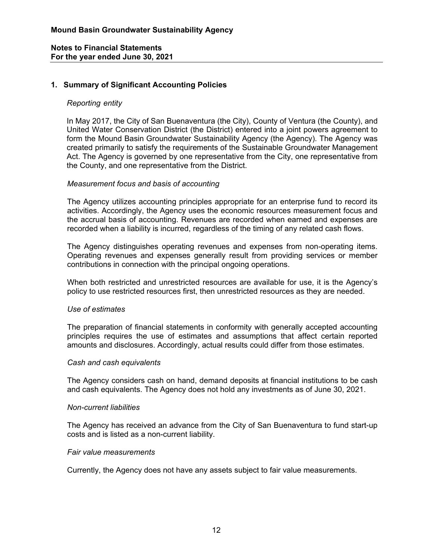#### **Notes to Financial Statements For the year ended June 30, 2021**

#### **1. Summary of Significant Accounting Policies**

#### *Reporting entity*

In May 2017, the City of San Buenaventura (the City), County of Ventura (the County), and United Water Conservation District (the District) entered into a joint powers agreement to form the Mound Basin Groundwater Sustainability Agency (the Agency). The Agency was created primarily to satisfy the requirements of the Sustainable Groundwater Management Act. The Agency is governed by one representative from the City, one representative from the County, and one representative from the District.

#### *Measurement focus and basis of accounting*

The Agency utilizes accounting principles appropriate for an enterprise fund to record its activities. Accordingly, the Agency uses the economic resources measurement focus and the accrual basis of accounting. Revenues are recorded when earned and expenses are recorded when a liability is incurred, regardless of the timing of any related cash flows.

The Agency distinguishes operating revenues and expenses from non-operating items. Operating revenues and expenses generally result from providing services or member contributions in connection with the principal ongoing operations.

When both restricted and unrestricted resources are available for use, it is the Agency's policy to use restricted resources first, then unrestricted resources as they are needed.

#### *Use of estimates*

The preparation of financial statements in conformity with generally accepted accounting principles requires the use of estimates and assumptions that affect certain reported amounts and disclosures. Accordingly, actual results could differ from those estimates.

#### *Cash and cash equivalents*

The Agency considers cash on hand, demand deposits at financial institutions to be cash and cash equivalents. The Agency does not hold any investments as of June 30, 2021.

#### *Non-current liabilities*

The Agency has received an advance from the City of San Buenaventura to fund start-up costs and is listed as a non-current liability.

#### *Fair value measurements*

Currently, the Agency does not have any assets subject to fair value measurements.